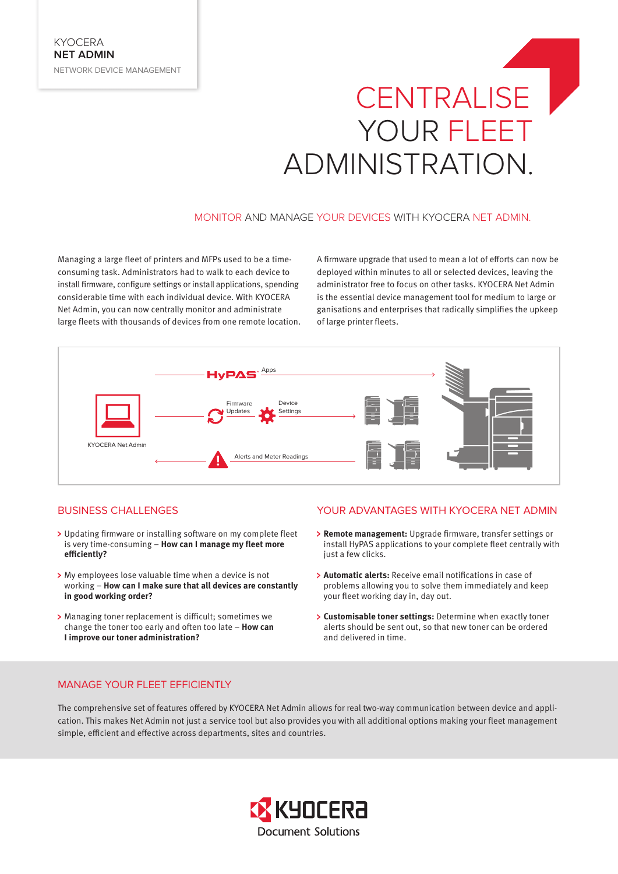# **CENTRALISE** YOUR FLEET ADMINISTRATION.

## MONITOR AND MANAGE YOUR DEVICES WITH KYOCERA NET ADMIN.

Managing a large fleet of printers and MFPs used to be a timeconsuming task. Administrators had to walk to each device to install firmware, configure settings or install applications, spending considerable time with each individual device. With KYOCERA Net Admin, you can now centrally monitor and administrate large fleets with thousands of devices from one remote location. A firmware upgrade that used to mean a lot of efforts can now be deployed within minutes to all or selected devices, leaving the administrator free to focus on other tasks. KYOCERA Net Admin is the essential device management tool for medium to large or ganisations and enterprises that radically simplifies the upkeep of large printer fleets.



### BUSINESS CHALLENGES

- > Updating firmware or installing software on my complete fleet is very time-consuming – **How can I manage my fleet more**  efficiently?
- My employees lose valuable time when a device is not working – **How can I make sure that all devices are constantly in good working order?**
- > Managing toner replacement is difficult; sometimes we change the toner too early and often too late - **How can I improve our toner administration?**

### YOUR ADVANTAGES WITH KYOCERA NET ADMIN

- > **Remote management:** Upgrade firmware, transfer settings or install HyPAS applications to your complete fleet centrally with just a few clicks.
- > **Automatic alerts:** Receive email notifications in case of problems allowing you to solve them immediately and keep your fleet working day in, day out.
- **Customisable toner settings:** Determine when exactly toner alerts should be sent out, so that new toner can be ordered and delivered in time.

### MANAGE YOUR FLEET EFFICIENTLY

The comprehensive set of features offered by KYOCERA Net Admin allows for real two-way communication between device and application. This makes Net Admin not just a service tool but also provides you with all additional options making your fleet management simple, efficient and effective across departments, sites and countries.